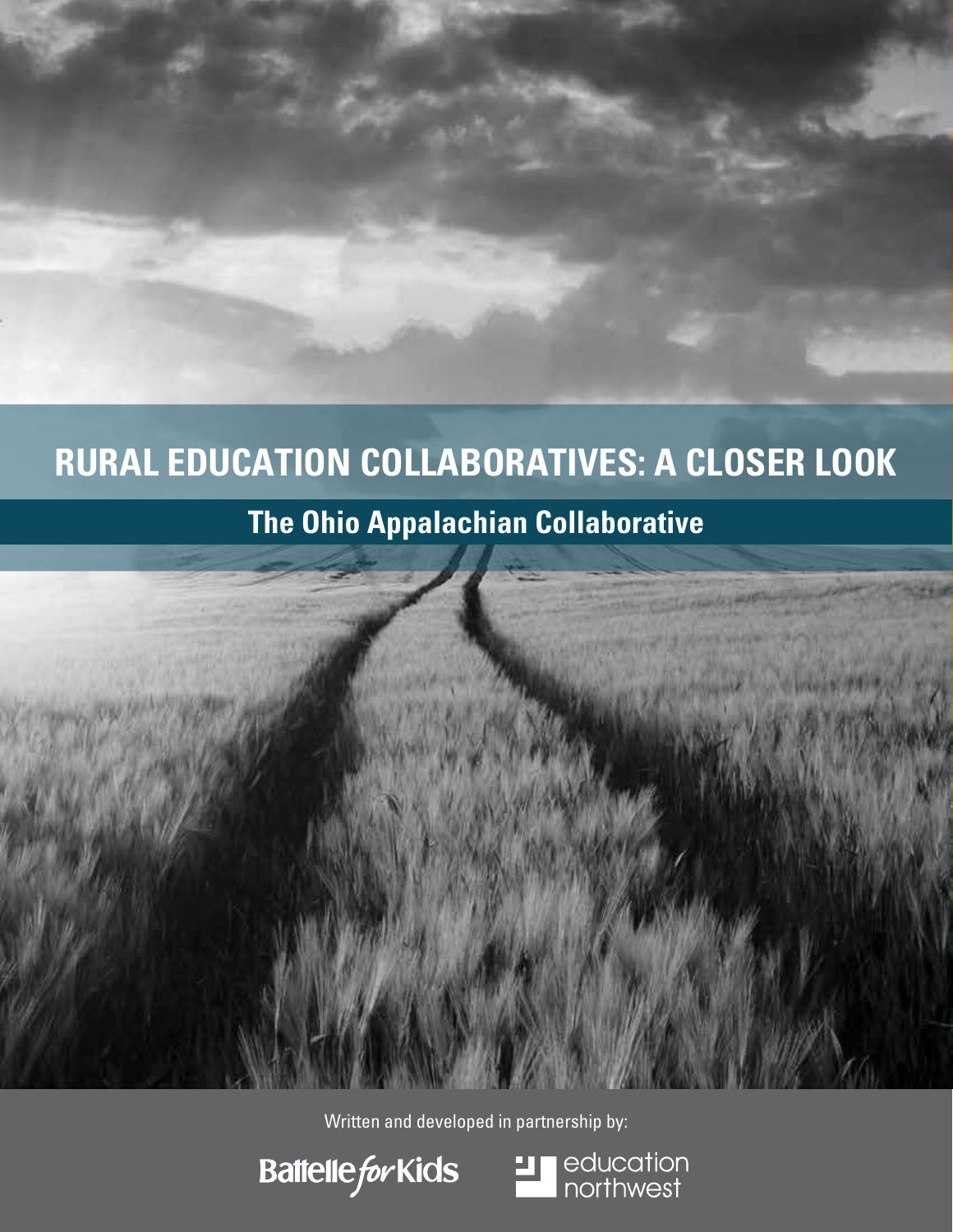# **RURAL EDUCATION COLLABORATIVES: A CLOSER LOOK**

# **The Ohio Appalachian Collaborative**



Written and developed in partnership by:



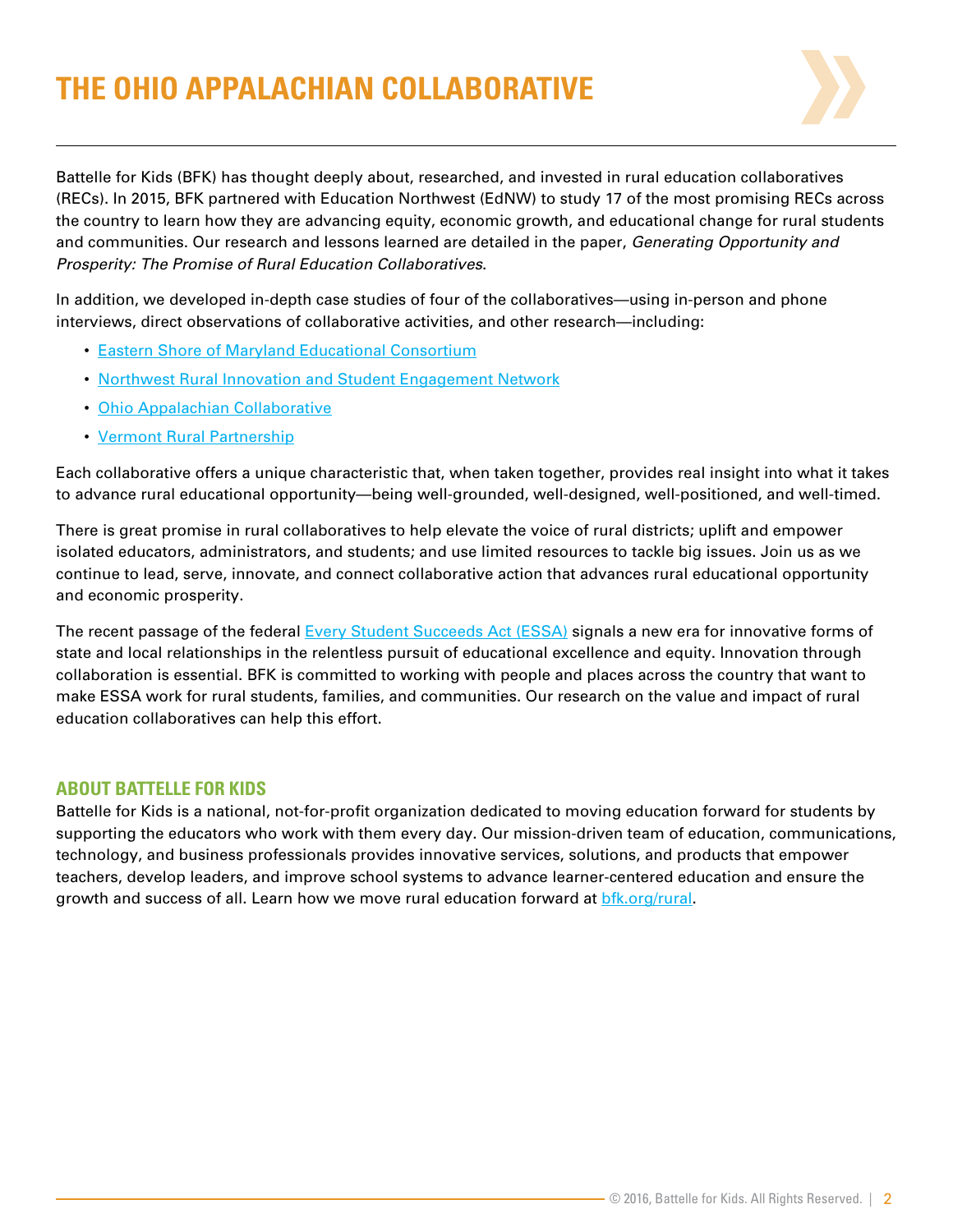# **THE OHIO APPALACHIAN COLLABORATIVE**



Battelle for Kids (BFK) has thought deeply about, researched, and invested in rural education collaboratives (RECs). In 2015, BFK partnered with Education Northwest (EdNW) to study 17 of the most promising RECs across the country to learn how they are advancing equity, economic growth, and educational change for rural students and communities. Our research and lessons learned are detailed in the paper, *Generating Opportunity and Prosperity: The Promise of Rural Education Collaboratives*.

In addition, we developed in-depth case studies of four of the collaboratives—using in-person and phone interviews, direct observations of collaborative activities, and other research—including:

- [Eastern Shore of Maryland Educational Consortium](http://www.esmec.org/)
- [Northwest Rural Innovation and Student Engagement Network](http://nwcc.educationnorthwest.org/nw-rise-network)
- [Ohio Appalachian Collaborative](http://portal.battelleforkids.org/OAC/oac-home)
- [Vermont Rural Partnership](http://www.vermontruralpartnership.org/)

Each collaborative offers a unique characteristic that, when taken together, provides real insight into what it takes to advance rural educational opportunity—being well-grounded, well-designed, well-positioned, and well-timed.

There is great promise in rural collaboratives to help elevate the voice of rural districts; uplift and empower isolated educators, administrators, and students; and use limited resources to tackle big issues. Join us as we continue to lead, serve, innovate, and connect collaborative action that advances rural educational opportunity and economic prosperity.

The recent passage of the federal [Every Student Succeeds Act \(ESSA\)](http://www.ed.gov/essa) signals a new era for innovative forms of state and local relationships in the relentless pursuit of educational excellence and equity. Innovation through collaboration is essential. BFK is committed to working with people and places across the country that want to make ESSA work for rural students, families, and communities. Our research on the value and impact of rural education collaboratives can help this effort.

## **ABOUT BATTELLE FOR KIDS**

Battelle for Kids is a national, not-for-profit organization dedicated to moving education forward for students by supporting the educators who work with them every day. Our mission-driven team of education, communications, technology, and business professionals provides innovative services, solutions, and products that empower teachers, develop leaders, and improve school systems to advance learner-centered education and ensure the growth and success of all. Learn how we move rural education forward at bfk.org/rural.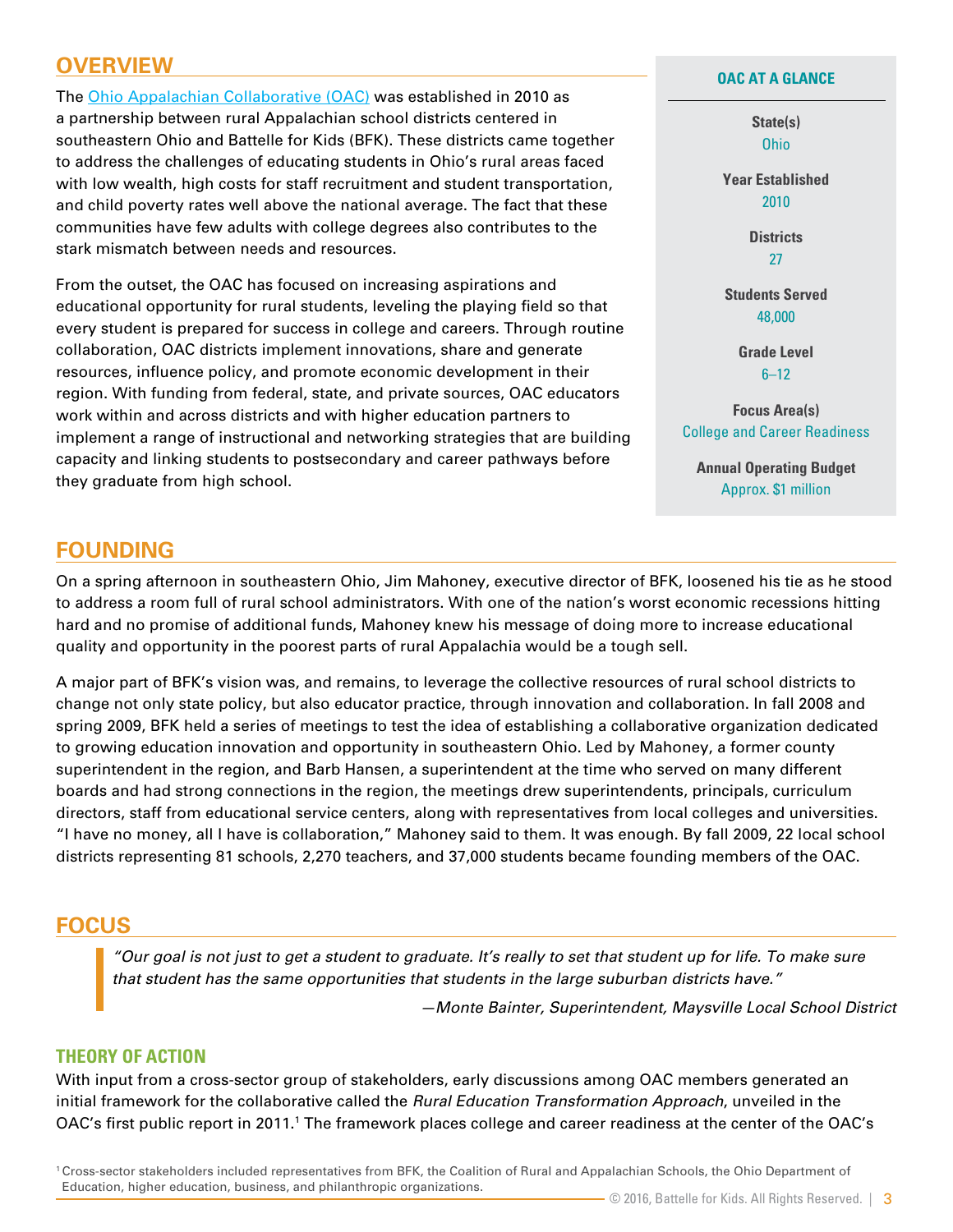# **OVERVIEW**

The [Ohio Appalachian Collaborative \(OAC\)](http://portal.battelleforkids.org/OAC/oac-home) was established in 2010 as a partnership between rural Appalachian school districts centered in southeastern Ohio and Battelle for Kids (BFK). These districts came together to address the challenges of educating students in Ohio's rural areas faced with low wealth, high costs for staff recruitment and student transportation, and child poverty rates well above the national average. The fact that these communities have few adults with college degrees also contributes to the stark mismatch between needs and resources.

From the outset, the OAC has focused on increasing aspirations and educational opportunity for rural students, leveling the playing field so that every student is prepared for success in college and careers. Through routine collaboration, OAC districts implement innovations, share and generate resources, influence policy, and promote economic development in their region. With funding from federal, state, and private sources, OAC educators work within and across districts and with higher education partners to implement a range of instructional and networking strategies that are building capacity and linking students to postsecondary and career pathways before they graduate from high school.

#### **OAC AT A GLANCE**

**State(s)** Ohio

**Year Established** 2010

> **Districts** 27

**Students Served** 48,000

> **Grade Level**  $6 - 12$

**Focus Area(s)** College and Career Readiness

**Annual Operating Budget** Approx. \$1 million

## **FOUNDING**

On a spring afternoon in southeastern Ohio, Jim Mahoney, executive director of BFK, loosened his tie as he stood to address a room full of rural school administrators. With one of the nation's worst economic recessions hitting hard and no promise of additional funds, Mahoney knew his message of doing more to increase educational quality and opportunity in the poorest parts of rural Appalachia would be a tough sell.

A major part of BFK's vision was, and remains, to leverage the collective resources of rural school districts to change not only state policy, but also educator practice, through innovation and collaboration. In fall 2008 and spring 2009, BFK held a series of meetings to test the idea of establishing a collaborative organization dedicated to growing education innovation and opportunity in southeastern Ohio. Led by Mahoney, a former county superintendent in the region, and Barb Hansen, a superintendent at the time who served on many different boards and had strong connections in the region, the meetings drew superintendents, principals, curriculum directors, staff from educational service centers, along with representatives from local colleges and universities. "I have no money, all I have is collaboration," Mahoney said to them. It was enough. By fall 2009, 22 local school districts representing 81 schools, 2,270 teachers, and 37,000 students became founding members of the OAC.

## **FOCUS**

*"Our goal is not just to get a student to graduate. It's really to set that student up for life. To make sure that student has the same opportunities that students in the large suburban districts have."* 

*—Monte Bainter, Superintendent, Maysville Local School District*

## **THEORY OF ACTION**

With input from a cross-sector group of stakeholders, early discussions among OAC members generated an initial framework for the collaborative called the *Rural Education Transformation Approach*, unveiled in the OAC's first public report in 2011.<sup>1</sup> The framework places college and career readiness at the center of the OAC's

1 Cross-sector stakeholders included representatives from BFK, the Coalition of Rural and Appalachian Schools, the Ohio Department of Education, higher education, business, and philanthropic organizations.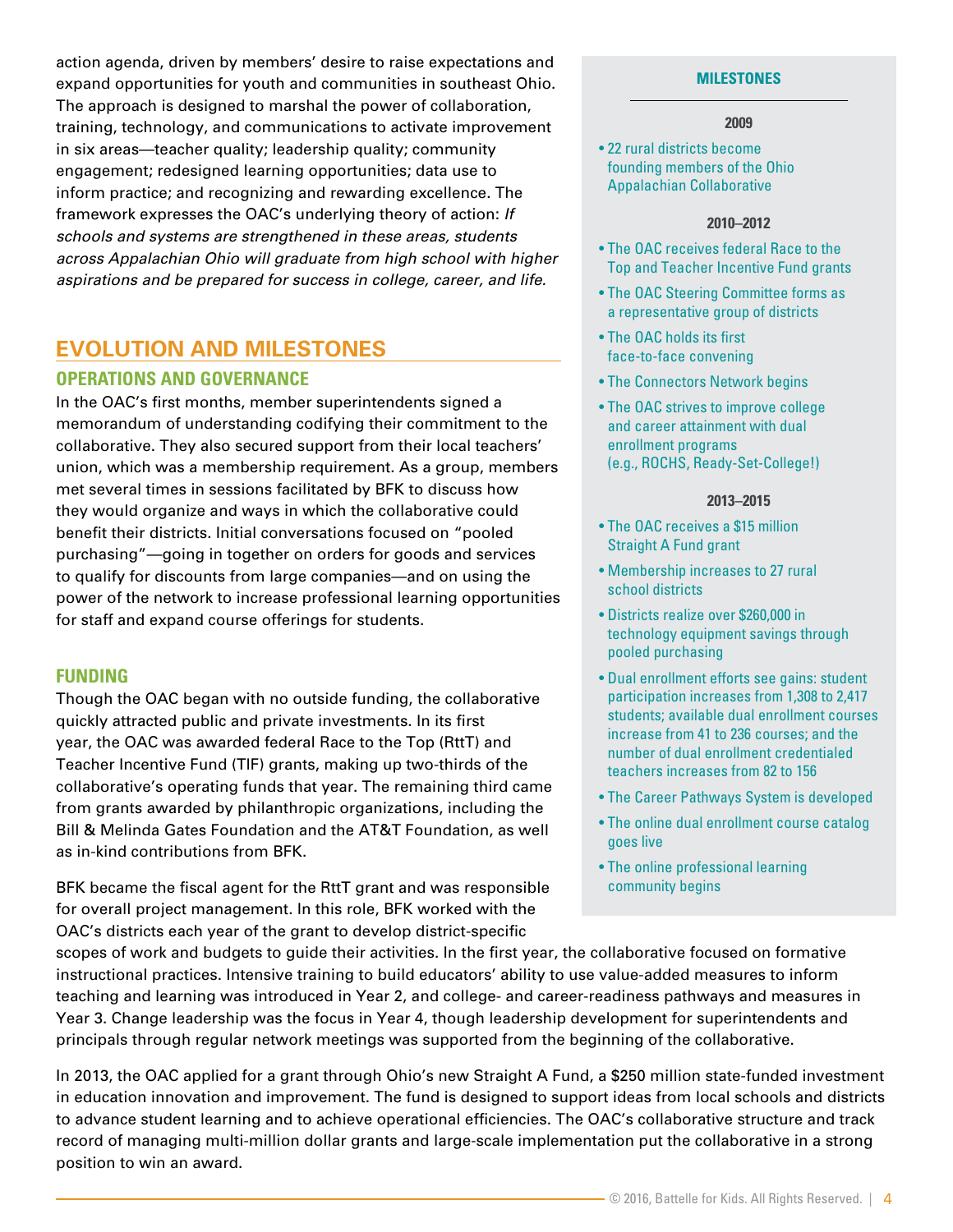action agenda, driven by members' desire to raise expectations and expand opportunities for youth and communities in southeast Ohio. The approach is designed to marshal the power of collaboration, training, technology, and communications to activate improvement in six areas—teacher quality; leadership quality; community engagement; redesigned learning opportunities; data use to inform practice; and recognizing and rewarding excellence. The framework expresses the OAC's underlying theory of action: *If schools and systems are strengthened in these areas, students across Appalachian Ohio will graduate from high school with higher aspirations and be prepared for success in college, career, and life.* 

# **EVOLUTION AND MILESTONES**

## **OPERATIONS AND GOVERNANCE**

In the OAC's first months, member superintendents signed a memorandum of understanding codifying their commitment to the collaborative. They also secured support from their local teachers' union, which was a membership requirement. As a group, members met several times in sessions facilitated by BFK to discuss how they would organize and ways in which the collaborative could benefit their districts. Initial conversations focused on "pooled purchasing"—going in together on orders for goods and services to qualify for discounts from large companies—and on using the power of the network to increase professional learning opportunities for staff and expand course offerings for students.

## **FUNDING**

Though the OAC began with no outside funding, the collaborative quickly attracted public and private investments. In its first year, the OAC was awarded federal Race to the Top (RttT) and Teacher Incentive Fund (TIF) grants, making up two-thirds of the collaborative's operating funds that year. The remaining third came from grants awarded by philanthropic organizations, including the Bill & Melinda Gates Foundation and the AT&T Foundation, as well as in-kind contributions from BFK.

BFK became the fiscal agent for the RttT grant and was responsible for overall project management. In this role, BFK worked with the OAC's districts each year of the grant to develop district-specific

#### **MILESTONES**

#### **2009**

• 22 rural districts become founding members of the Ohio Appalachian Collaborative

#### **2010–2012**

- The OAC receives federal Race to the Top and Teacher Incentive Fund grants
- The OAC Steering Committee forms as a representative group of districts
- The OAC holds its first face-to-face convening
- The Connectors Network begins
- The OAC strives to improve college and career attainment with dual enrollment programs (e.g., ROCHS, Ready-Set-College!)

#### **2013–2015**

- The OAC receives a \$15 million Straight A Fund grant
- Membership increases to 27 rural school districts
- Districts realize over \$260,000 in technology equipment savings through pooled purchasing
- Dual enrollment efforts see gains: student participation increases from 1,308 to 2,417 students; available dual enrollment courses increase from 41 to 236 courses; and the number of dual enrollment credentialed teachers increases from 82 to 156
- The Career Pathways System is developed
- The online dual enrollment course catalog goes live
- The online professional learning community begins

scopes of work and budgets to guide their activities. In the first year, the collaborative focused on formative instructional practices. Intensive training to build educators' ability to use value-added measures to inform teaching and learning was introduced in Year 2, and college- and career-readiness pathways and measures in Year 3. Change leadership was the focus in Year 4, though leadership development for superintendents and principals through regular network meetings was supported from the beginning of the collaborative.

In 2013, the OAC applied for a grant through Ohio's new Straight A Fund, a \$250 million state-funded investment in education innovation and improvement. The fund is designed to support ideas from local schools and districts to advance student learning and to achieve operational efficiencies. The OAC's collaborative structure and track record of managing multi-million dollar grants and large-scale implementation put the collaborative in a strong position to win an award.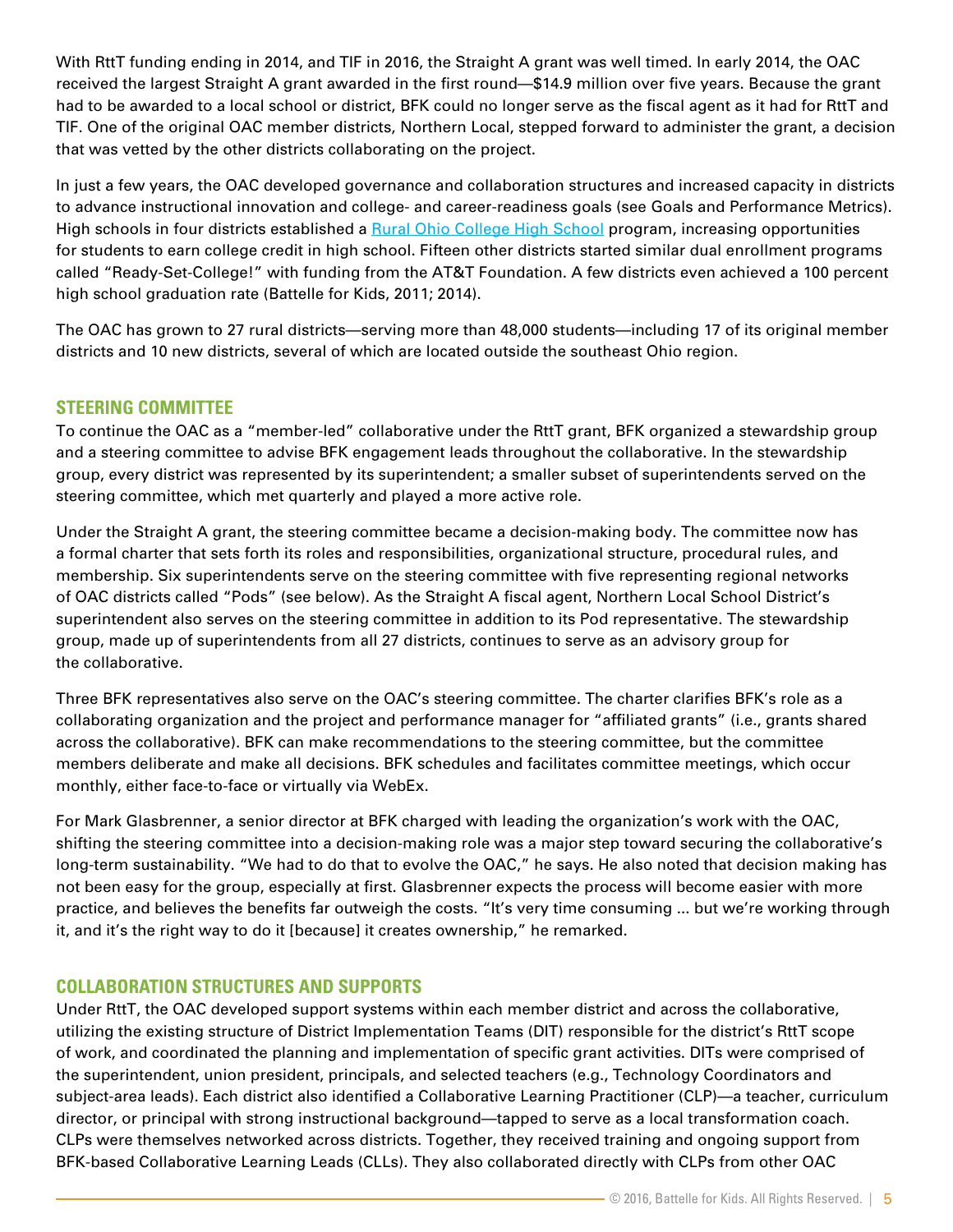With RttT funding ending in 2014, and TIF in 2016, the Straight A grant was well timed. In early 2014, the OAC received the largest Straight A grant awarded in the first round—\$14.9 million over five years. Because the grant had to be awarded to a local school or district, BFK could no longer serve as the fiscal agent as it had for RttT and TIF. One of the original OAC member districts, Northern Local, stepped forward to administer the grant, a decision that was vetted by the other districts collaborating on the project.

In just a few years, the OAC developed governance and collaboration structures and increased capacity in districts to advance instructional innovation and college- and career-readiness goals (see Goals and Performance Metrics). High schools in four districts established a [Rural Ohio College High School](http://www.crooksville.k12.oh.us/rochs/) program, increasing opportunities for students to earn college credit in high school. Fifteen other districts started similar dual enrollment programs called "Ready-Set-College!" with funding from the AT&T Foundation. A few districts even achieved a 100 percent high school graduation rate (Battelle for Kids, 2011; 2014).

The OAC has grown to 27 rural districts—serving more than 48,000 students—including 17 of its original member districts and 10 new districts, several of which are located outside the southeast Ohio region.

## **STEERING COMMITTEE**

To continue the OAC as a "member-led" collaborative under the RttT grant, BFK organized a stewardship group and a steering committee to advise BFK engagement leads throughout the collaborative. In the stewardship group, every district was represented by its superintendent; a smaller subset of superintendents served on the steering committee, which met quarterly and played a more active role.

Under the Straight A grant, the steering committee became a decision-making body. The committee now has a formal charter that sets forth its roles and responsibilities, organizational structure, procedural rules, and membership. Six superintendents serve on the steering committee with five representing regional networks of OAC districts called "Pods" (see below). As the Straight A fiscal agent, Northern Local School District's superintendent also serves on the steering committee in addition to its Pod representative. The stewardship group, made up of superintendents from all 27 districts, continues to serve as an advisory group for the collaborative.

Three BFK representatives also serve on the OAC's steering committee. The charter clarifies BFK's role as a collaborating organization and the project and performance manager for "affiliated grants" (i.e., grants shared across the collaborative). BFK can make recommendations to the steering committee, but the committee members deliberate and make all decisions. BFK schedules and facilitates committee meetings, which occur monthly, either face-to-face or virtually via WebEx.

For Mark Glasbrenner, a senior director at BFK charged with leading the organization's work with the OAC, shifting the steering committee into a decision-making role was a major step toward securing the collaborative's long-term sustainability. "We had to do that to evolve the OAC," he says. He also noted that decision making has not been easy for the group, especially at first. Glasbrenner expects the process will become easier with more practice, and believes the benefits far outweigh the costs. "It's very time consuming ... but we're working through it, and it's the right way to do it [because] it creates ownership," he remarked.

## **COLLABORATION STRUCTURES AND SUPPORTS**

Under RttT, the OAC developed support systems within each member district and across the collaborative, utilizing the existing structure of District Implementation Teams (DIT) responsible for the district's RttT scope of work, and coordinated the planning and implementation of specific grant activities. DITs were comprised of the superintendent, union president, principals, and selected teachers (e.g., Technology Coordinators and subject-area leads). Each district also identified a Collaborative Learning Practitioner (CLP)—a teacher, curriculum director, or principal with strong instructional background—tapped to serve as a local transformation coach. CLPs were themselves networked across districts. Together, they received training and ongoing support from BFK-based Collaborative Learning Leads (CLLs). They also collaborated directly with CLPs from other OAC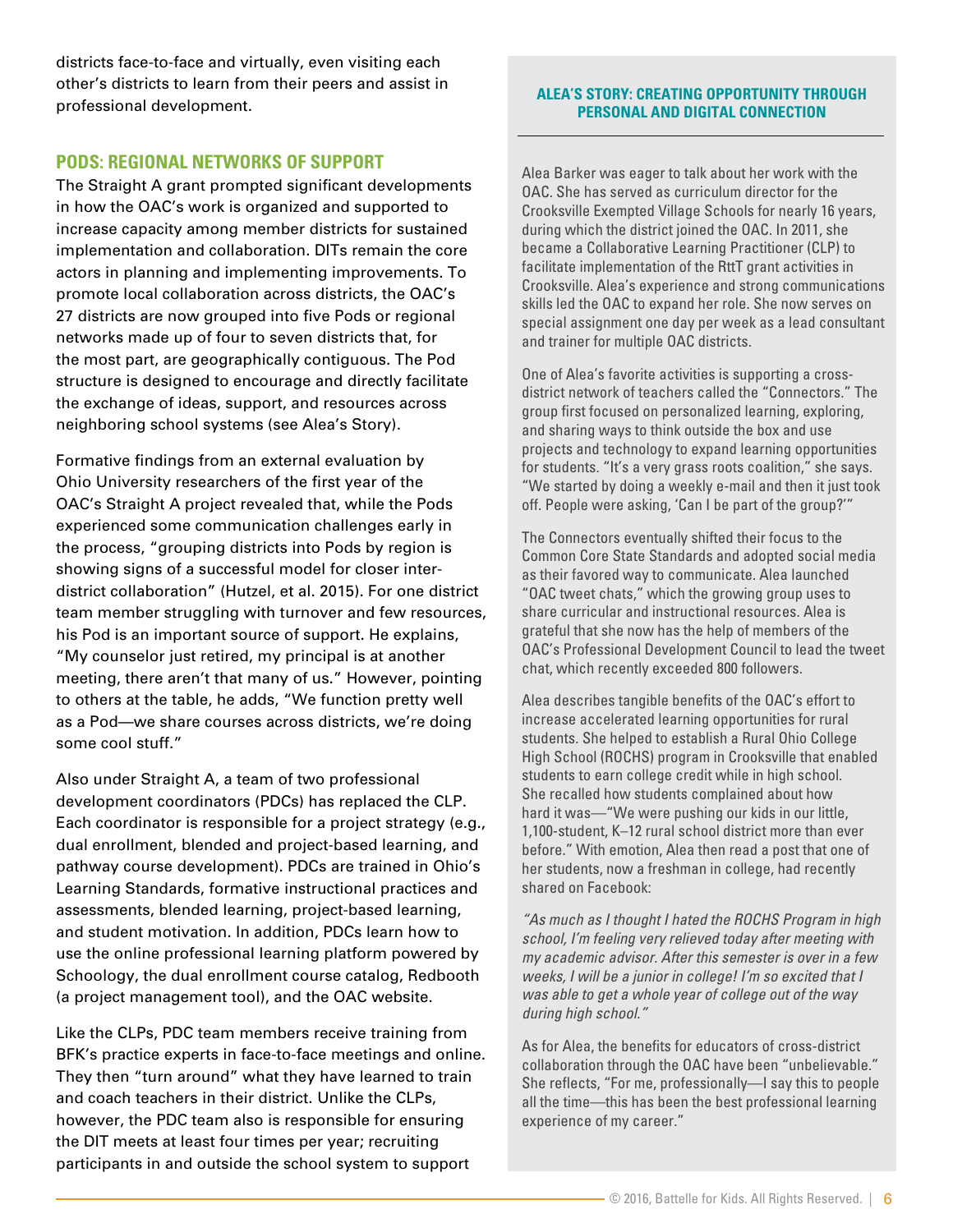districts face-to-face and virtually, even visiting each other's districts to learn from their peers and assist in professional development.

## **PODS: REGIONAL NETWORKS OF SUPPORT**

The Straight A grant prompted significant developments in how the OAC's work is organized and supported to increase capacity among member districts for sustained implementation and collaboration. DITs remain the core actors in planning and implementing improvements. To promote local collaboration across districts, the OAC's 27 districts are now grouped into five Pods or regional networks made up of four to seven districts that, for the most part, are geographically contiguous. The Pod structure is designed to encourage and directly facilitate the exchange of ideas, support, and resources across neighboring school systems (see Alea's Story).

Formative findings from an external evaluation by Ohio University researchers of the first year of the OAC's Straight A project revealed that, while the Pods experienced some communication challenges early in the process, "grouping districts into Pods by region is showing signs of a successful model for closer interdistrict collaboration" (Hutzel, et al. 2015). For one district team member struggling with turnover and few resources, his Pod is an important source of support. He explains, "My counselor just retired, my principal is at another meeting, there aren't that many of us." However, pointing to others at the table, he adds, "We function pretty well as a Pod—we share courses across districts, we're doing some cool stuff."

Also under Straight A, a team of two professional development coordinators (PDCs) has replaced the CLP. Each coordinator is responsible for a project strategy (e.g., dual enrollment, blended and project-based learning, and pathway course development). PDCs are trained in Ohio's Learning Standards, formative instructional practices and assessments, blended learning, project-based learning, and student motivation. In addition, PDCs learn how to use the online professional learning platform powered by Schoology, the dual enrollment course catalog, Redbooth (a project management tool), and the OAC website.

Like the CLPs, PDC team members receive training from BFK's practice experts in face-to-face meetings and online. They then "turn around" what they have learned to train and coach teachers in their district. Unlike the CLPs, however, the PDC team also is responsible for ensuring the DIT meets at least four times per year; recruiting participants in and outside the school system to support

#### **ALEA'S STORY: CREATING OPPORTUNITY THROUGH PERSONAL AND DIGITAL CONNECTION**

Alea Barker was eager to talk about her work with the OAC. She has served as curriculum director for the Crooksville Exempted Village Schools for nearly 16 years, during which the district joined the OAC. In 2011, she became a Collaborative Learning Practitioner (CLP) to facilitate implementation of the RttT grant activities in Crooksville. Alea's experience and strong communications skills led the OAC to expand her role. She now serves on special assignment one day per week as a lead consultant and trainer for multiple OAC districts.

One of Alea's favorite activities is supporting a crossdistrict network of teachers called the "Connectors." The group first focused on personalized learning, exploring, and sharing ways to think outside the box and use projects and technology to expand learning opportunities for students. "It's a very grass roots coalition," she says. "We started by doing a weekly e-mail and then it just took off. People were asking, 'Can I be part of the group?'"

The Connectors eventually shifted their focus to the Common Core State Standards and adopted social media as their favored way to communicate. Alea launched "OAC tweet chats," which the growing group uses to share curricular and instructional resources. Alea is grateful that she now has the help of members of the OAC's Professional Development Council to lead the tweet chat, which recently exceeded 800 followers.

Alea describes tangible benefits of the OAC's effort to increase accelerated learning opportunities for rural students. She helped to establish a Rural Ohio College High School (ROCHS) program in Crooksville that enabled students to earn college credit while in high school. She recalled how students complained about how hard it was—"We were pushing our kids in our little, 1,100-student, K–12 rural school district more than ever before." With emotion, Alea then read a post that one of her students, now a freshman in college, had recently shared on Facebook:

*"As much as I thought I hated the ROCHS Program in high school, I'm feeling very relieved today after meeting with my academic advisor. After this semester is over in a few weeks, I will be a junior in college! I'm so excited that I was able to get a whole year of college out of the way during high school."* 

As for Alea, the benefits for educators of cross-district collaboration through the OAC have been "unbelievable." She reflects, "For me, professionally—I say this to people all the time—this has been the best professional learning experience of my career."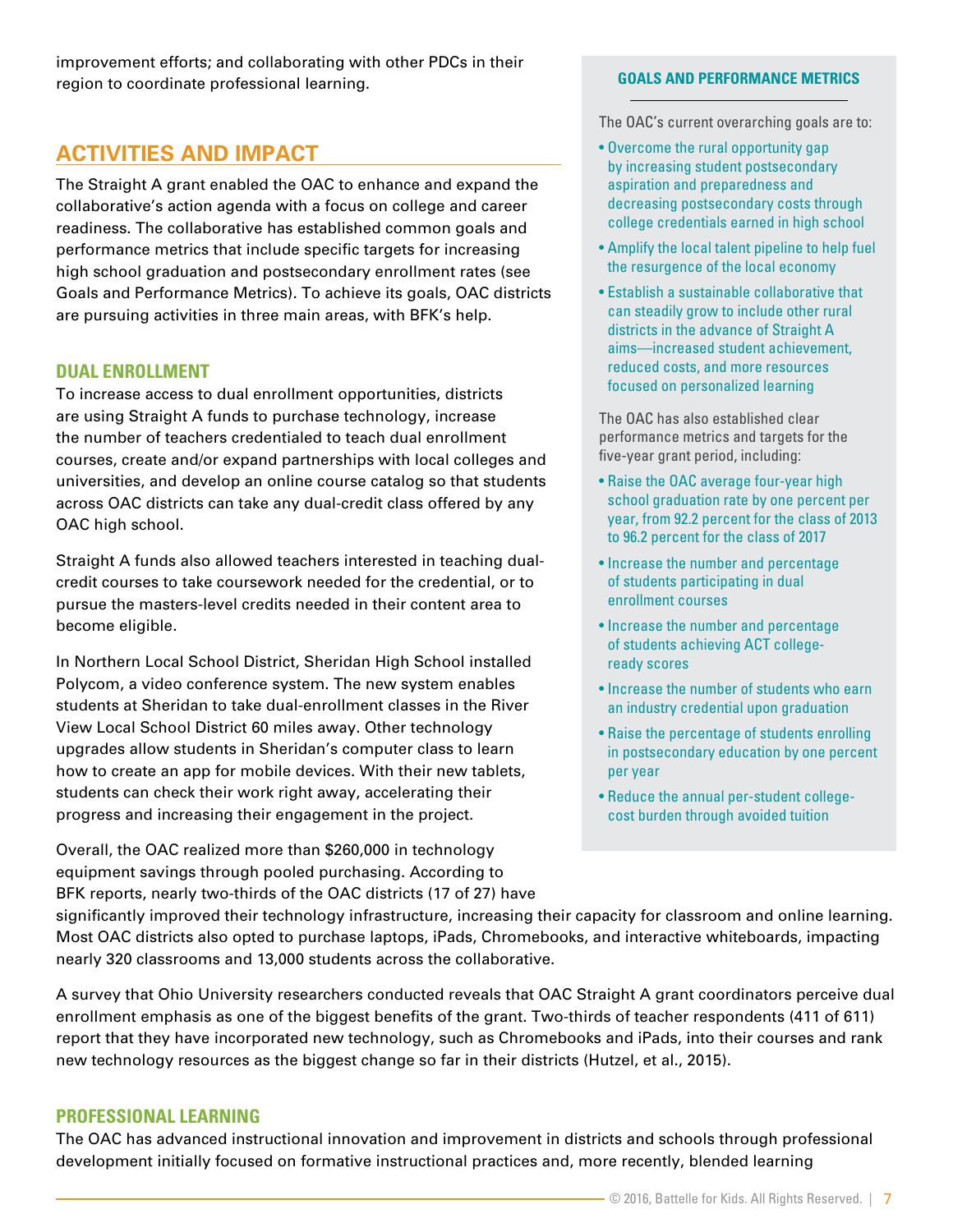improvement efforts; and collaborating with other PDCs in their region to coordinate professional learning.

# **ACTIVITIES AND IMPACT**

The Straight A grant enabled the OAC to enhance and expand the collaborative's action agenda with a focus on college and career readiness. The collaborative has established common goals and performance metrics that include specific targets for increasing high school graduation and postsecondary enrollment rates (see Goals and Performance Metrics). To achieve its goals, OAC districts are pursuing activities in three main areas, with BFK's help.

## **DUAL ENROLLMENT**

To increase access to dual enrollment opportunities, districts are using Straight A funds to purchase technology, increase the number of teachers credentialed to teach dual enrollment courses, create and/or expand partnerships with local colleges and universities, and develop an online course catalog so that students across OAC districts can take any dual-credit class offered by any OAC high school.

Straight A funds also allowed teachers interested in teaching dualcredit courses to take coursework needed for the credential, or to pursue the masters-level credits needed in their content area to become eligible.

In Northern Local School District, Sheridan High School installed Polycom, a video conference system. The new system enables students at Sheridan to take dual-enrollment classes in the River View Local School District 60 miles away. Other technology upgrades allow students in Sheridan's computer class to learn how to create an app for mobile devices. With their new tablets, students can check their work right away, accelerating their progress and increasing their engagement in the project.

Overall, the OAC realized more than \$260,000 in technology equipment savings through pooled purchasing. According to BFK reports, nearly two-thirds of the OAC districts (17 of 27) have

#### **GOALS AND PERFORMANCE METRICS**

The OAC's current overarching goals are to:

- Overcome the rural opportunity gap by increasing student postsecondary aspiration and preparedness and decreasing postsecondary costs through college credentials earned in high school
- Amplify the local talent pipeline to help fuel the resurgence of the local economy
- Establish a sustainable collaborative that can steadily grow to include other rural districts in the advance of Straight A aims—increased student achievement, reduced costs, and more resources focused on personalized learning

The OAC has also established clear performance metrics and targets for the five-year grant period, including:

- Raise the OAC average four-year high school graduation rate by one percent per year, from 92.2 percent for the class of 2013 to 96.2 percent for the class of 2017
- Increase the number and percentage of students participating in dual enrollment courses
- Increase the number and percentage of students achieving ACT collegeready scores
- Increase the number of students who earn an industry credential upon graduation
- Raise the percentage of students enrolling in postsecondary education by one percent per year
- Reduce the annual per-student collegecost burden through avoided tuition

significantly improved their technology infrastructure, increasing their capacity for classroom and online learning. Most OAC districts also opted to purchase laptops, iPads, Chromebooks, and interactive whiteboards, impacting nearly 320 classrooms and 13,000 students across the collaborative.

A survey that Ohio University researchers conducted reveals that OAC Straight A grant coordinators perceive dual enrollment emphasis as one of the biggest benefits of the grant. Two-thirds of teacher respondents (411 of 611) report that they have incorporated new technology, such as Chromebooks and iPads, into their courses and rank new technology resources as the biggest change so far in their districts (Hutzel, et al., 2015).

## **PROFESSIONAL LEARNING**

The OAC has advanced instructional innovation and improvement in districts and schools through professional development initially focused on formative instructional practices and, more recently, blended learning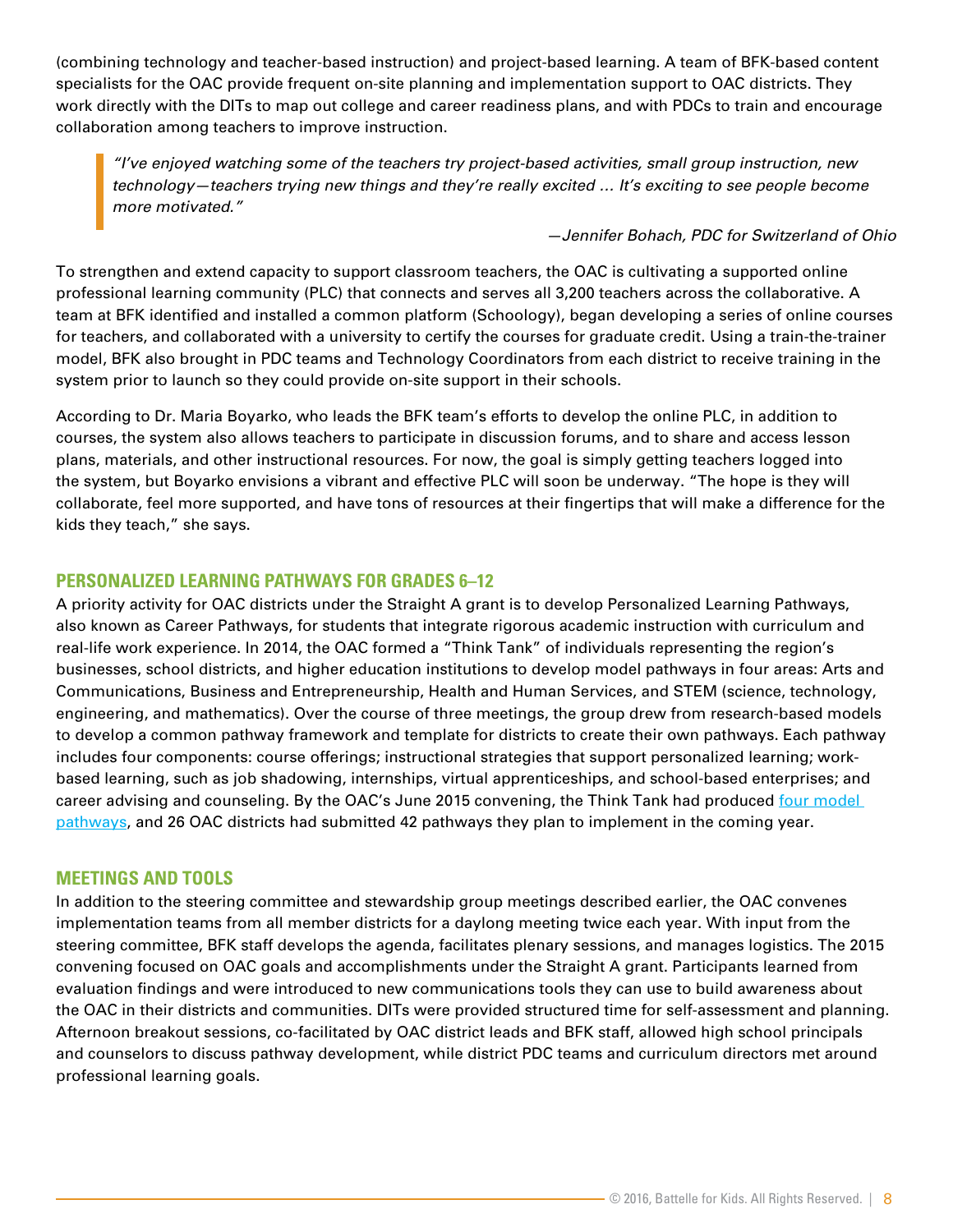(combining technology and teacher-based instruction) and project-based learning. A team of BFK-based content specialists for the OAC provide frequent on-site planning and implementation support to OAC districts. They work directly with the DITs to map out college and career readiness plans, and with PDCs to train and encourage collaboration among teachers to improve instruction.

*"I've enjoyed watching some of the teachers try project-based activities, small group instruction, new technology—teachers trying new things and they're really excited … It's exciting to see people become more motivated."*

#### *—Jennifer Bohach, PDC for Switzerland of Ohio*

To strengthen and extend capacity to support classroom teachers, the OAC is cultivating a supported online professional learning community (PLC) that connects and serves all 3,200 teachers across the collaborative. A team at BFK identified and installed a common platform (Schoology), began developing a series of online courses for teachers, and collaborated with a university to certify the courses for graduate credit. Using a train-the-trainer model, BFK also brought in PDC teams and Technology Coordinators from each district to receive training in the system prior to launch so they could provide on-site support in their schools.

According to Dr. Maria Boyarko, who leads the BFK team's efforts to develop the online PLC, in addition to courses, the system also allows teachers to participate in discussion forums, and to share and access lesson plans, materials, and other instructional resources. For now, the goal is simply getting teachers logged into the system, but Boyarko envisions a vibrant and effective PLC will soon be underway. "The hope is they will collaborate, feel more supported, and have tons of resources at their fingertips that will make a difference for the kids they teach," she says.

#### **PERSONALIZED LEARNING PATHWAYS FOR GRADES 6–12**

A priority activity for OAC districts under the Straight A grant is to develop Personalized Learning Pathways, also known as Career Pathways, for students that integrate rigorous academic instruction with curriculum and real-life work experience. In 2014, the OAC formed a "Think Tank" of individuals representing the region's businesses, school districts, and higher education institutions to develop model pathways in four areas: Arts and Communications, Business and Entrepreneurship, Health and Human Services, and STEM (science, technology, engineering, and mathematics). Over the course of three meetings, the group drew from research-based models to develop a common pathway framework and template for districts to create their own pathways. Each pathway includes four components: course offerings; instructional strategies that support personalized learning; workbased learning, such as job shadowing, internships, virtual apprenticeships, and school-based enterprises; and career advising and counseling. By the OAC's June 2015 convening, the Think Tank had produced [four model](http://portal.battelleforkids.org/OAC/straight-a-work/personalized-learning-pathways)  [pathways,](http://portal.battelleforkids.org/OAC/straight-a-work/personalized-learning-pathways) and 26 OAC districts had submitted 42 pathways they plan to implement in the coming year.

#### **MEETINGS AND TOOLS**

In addition to the steering committee and stewardship group meetings described earlier, the OAC convenes implementation teams from all member districts for a daylong meeting twice each year. With input from the steering committee, BFK staff develops the agenda, facilitates plenary sessions, and manages logistics. The 2015 convening focused on OAC goals and accomplishments under the Straight A grant. Participants learned from evaluation findings and were introduced to new communications tools they can use to build awareness about the OAC in their districts and communities. DITs were provided structured time for self-assessment and planning. Afternoon breakout sessions, co-facilitated by OAC district leads and BFK staff, allowed high school principals and counselors to discuss pathway development, while district PDC teams and curriculum directors met around professional learning goals.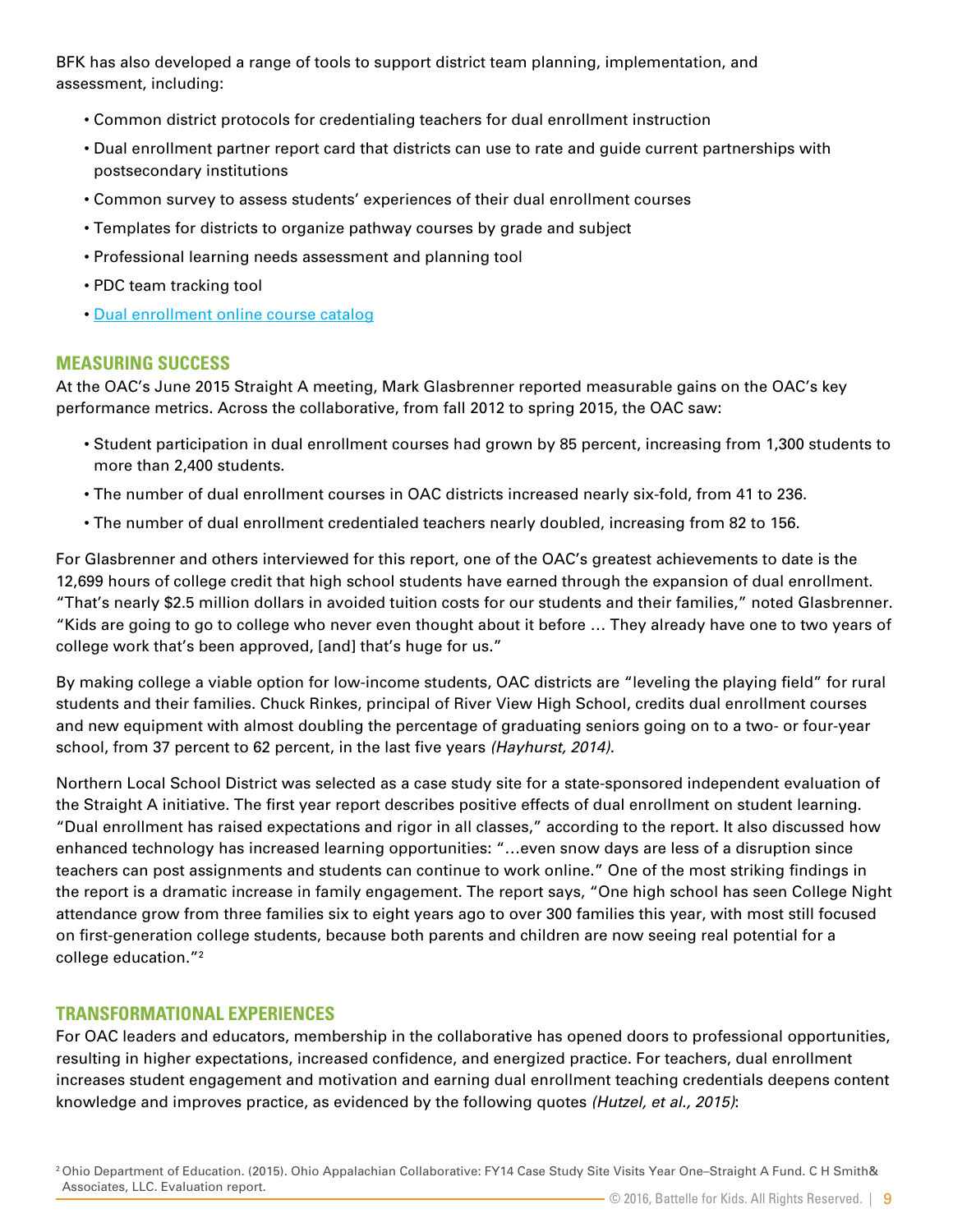BFK has also developed a range of tools to support district team planning, implementation, and assessment, including:

- Common district protocols for credentialing teachers for dual enrollment instruction
- Dual enrollment partner report card that districts can use to rate and guide current partnerships with postsecondary institutions
- Common survey to assess students' experiences of their dual enrollment courses
- Templates for districts to organize pathway courses by grade and subject
- Professional learning needs assessment and planning tool
- PDC team tracking tool
- • [Dual enrollment online course catalog](http://portal.battelleforkids.org/OAC/straight-a-work/dual-enrollment-course-catalog)

## **MEASURING SUCCESS**

At the OAC's June 2015 Straight A meeting, Mark Glasbrenner reported measurable gains on the OAC's key performance metrics. Across the collaborative, from fall 2012 to spring 2015, the OAC saw:

- Student participation in dual enrollment courses had grown by 85 percent, increasing from 1,300 students to more than 2,400 students.
- The number of dual enrollment courses in OAC districts increased nearly six-fold, from 41 to 236.
- The number of dual enrollment credentialed teachers nearly doubled, increasing from 82 to 156.

For Glasbrenner and others interviewed for this report, one of the OAC's greatest achievements to date is the 12,699 hours of college credit that high school students have earned through the expansion of dual enrollment. "That's nearly \$2.5 million dollars in avoided tuition costs for our students and their families," noted Glasbrenner. "Kids are going to go to college who never even thought about it before … They already have one to two years of college work that's been approved, [and] that's huge for us."

By making college a viable option for low-income students, OAC districts are "leveling the playing field" for rural students and their families. Chuck Rinkes, principal of River View High School, credits dual enrollment courses and new equipment with almost doubling the percentage of graduating seniors going on to a two- or four-year school, from 37 percent to 62 percent, in the last five years *(Hayhurst, 2014)*.

Northern Local School District was selected as a case study site for a state-sponsored independent evaluation of the Straight A initiative. The first year report describes positive effects of dual enrollment on student learning. "Dual enrollment has raised expectations and rigor in all classes," according to the report. It also discussed how enhanced technology has increased learning opportunities: "…even snow days are less of a disruption since teachers can post assignments and students can continue to work online." One of the most striking findings in the report is a dramatic increase in family engagement. The report says, "One high school has seen College Night attendance grow from three families six to eight years ago to over 300 families this year, with most still focused on first-generation college students, because both parents and children are now seeing real potential for a college education."2

## **TRANSFORMATIONAL EXPERIENCES**

For OAC leaders and educators, membership in the collaborative has opened doors to professional opportunities, resulting in higher expectations, increased confidence, and energized practice. For teachers, dual enrollment increases student engagement and motivation and earning dual enrollment teaching credentials deepens content knowledge and improves practice, as evidenced by the following quotes *(Hutzel, et al., 2015)*: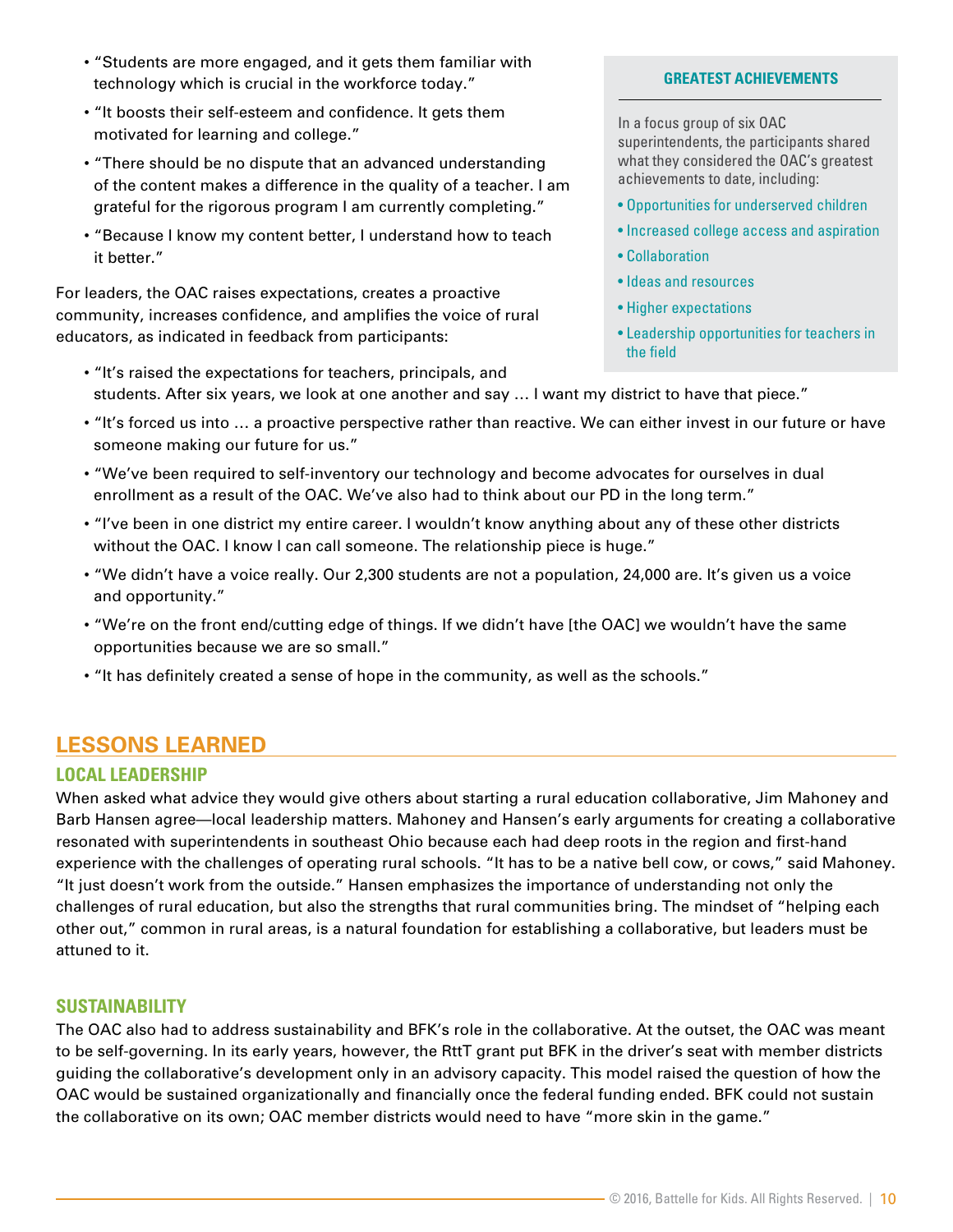- "Students are more engaged, and it gets them familiar with technology which is crucial in the workforce today."
- "It boosts their self-esteem and confidence. It gets them motivated for learning and college."
- "There should be no dispute that an advanced understanding of the content makes a difference in the quality of a teacher. I am grateful for the rigorous program I am currently completing."
- "Because I know my content better, I understand how to teach it better."

For leaders, the OAC raises expectations, creates a proactive community, increases confidence, and amplifies the voice of rural educators, as indicated in feedback from participants:

## **GREATEST ACHIEVEMENTS**

In a focus group of six OAC superintendents, the participants shared what they considered the OAC's greatest achievements to date, including:

- Opportunities for underserved children
- Increased college access and aspiration
- Collaboration
- Ideas and resources
- Higher expectations
- Leadership opportunities for teachers in the field
- "It's raised the expectations for teachers, principals, and students. After six years, we look at one another and say … I want my district to have that piece."
- "It's forced us into … a proactive perspective rather than reactive. We can either invest in our future or have someone making our future for us."
- "We've been required to self-inventory our technology and become advocates for ourselves in dual enrollment as a result of the OAC. We've also had to think about our PD in the long term."
- "I've been in one district my entire career. I wouldn't know anything about any of these other districts without the OAC. I know I can call someone. The relationship piece is huge."
- "We didn't have a voice really. Our 2,300 students are not a population, 24,000 are. It's given us a voice and opportunity."
- "We're on the front end/cutting edge of things. If we didn't have [the OAC] we wouldn't have the same opportunities because we are so small."
- "It has definitely created a sense of hope in the community, as well as the schools."

# **LESSONS LEARNED**

# **LOCAL LEADERSHIP**

When asked what advice they would give others about starting a rural education collaborative, Jim Mahoney and Barb Hansen agree—local leadership matters. Mahoney and Hansen's early arguments for creating a collaborative resonated with superintendents in southeast Ohio because each had deep roots in the region and first-hand experience with the challenges of operating rural schools. "It has to be a native bell cow, or cows," said Mahoney. "It just doesn't work from the outside." Hansen emphasizes the importance of understanding not only the challenges of rural education, but also the strengths that rural communities bring. The mindset of "helping each other out," common in rural areas, is a natural foundation for establishing a collaborative, but leaders must be attuned to it.

## **SUSTAINABILITY**

The OAC also had to address sustainability and BFK's role in the collaborative. At the outset, the OAC was meant to be self-governing. In its early years, however, the RttT grant put BFK in the driver's seat with member districts guiding the collaborative's development only in an advisory capacity. This model raised the question of how the OAC would be sustained organizationally and financially once the federal funding ended. BFK could not sustain the collaborative on its own; OAC member districts would need to have "more skin in the game."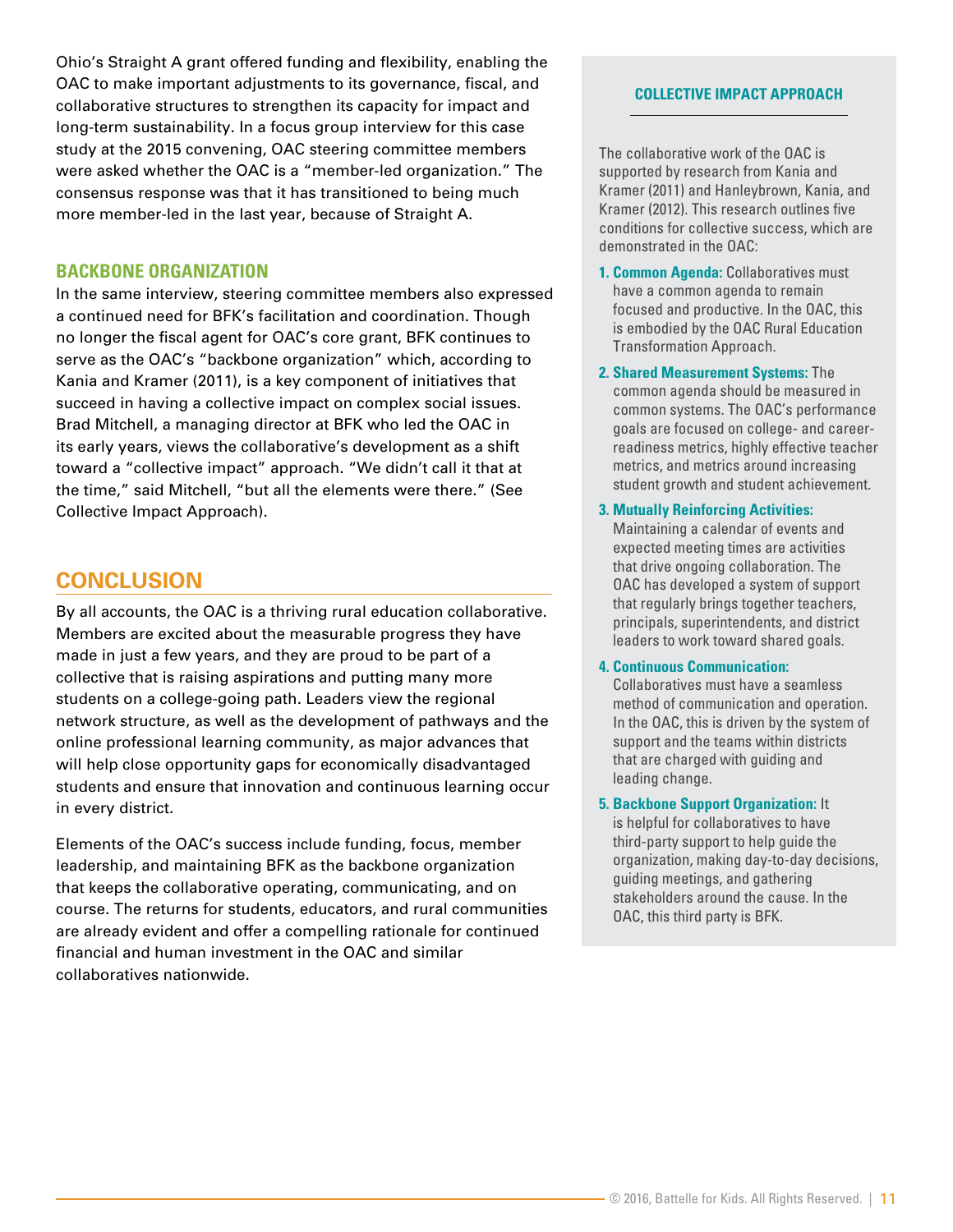Ohio's Straight A grant offered funding and flexibility, enabling the OAC to make important adjustments to its governance, fiscal, and collaborative structures to strengthen its capacity for impact and long-term sustainability. In a focus group interview for this case study at the 2015 convening, OAC steering committee members were asked whether the OAC is a "member-led organization." The consensus response was that it has transitioned to being much more member-led in the last year, because of Straight A.

#### **BACKBONE ORGANIZATION**

In the same interview, steering committee members also expressed a continued need for BFK's facilitation and coordination. Though no longer the fiscal agent for OAC's core grant, BFK continues to serve as the OAC's "backbone organization" which, according to Kania and Kramer (2011), is a key component of initiatives that succeed in having a collective impact on complex social issues. Brad Mitchell, a managing director at BFK who led the OAC in its early years, views the collaborative's development as a shift toward a "collective impact" approach. "We didn't call it that at the time," said Mitchell, "but all the elements were there." (See Collective Impact Approach).

## **CONCLUSION**

By all accounts, the OAC is a thriving rural education collaborative. Members are excited about the measurable progress they have made in just a few years, and they are proud to be part of a collective that is raising aspirations and putting many more students on a college-going path. Leaders view the regional network structure, as well as the development of pathways and the online professional learning community, as major advances that will help close opportunity gaps for economically disadvantaged students and ensure that innovation and continuous learning occur in every district.

Elements of the OAC's success include funding, focus, member leadership, and maintaining BFK as the backbone organization that keeps the collaborative operating, communicating, and on course. The returns for students, educators, and rural communities are already evident and offer a compelling rationale for continued financial and human investment in the OAC and similar collaboratives nationwide.

#### **COLLECTIVE IMPACT APPROACH**

The collaborative work of the OAC is supported by research from Kania and Kramer (2011) and Hanleybrown, Kania, and Kramer (2012). This research outlines five conditions for collective success, which are demonstrated in the OAC:

- **1. Common Agenda:** Collaboratives must have a common agenda to remain focused and productive. In the OAC, this is embodied by the OAC Rural Education Transformation Approach.
- **2. Shared Measurement Systems:** The common agenda should be measured in common systems. The OAC's performance goals are focused on college- and careerreadiness metrics, highly effective teacher metrics, and metrics around increasing student growth and student achievement.

#### **3. Mutually Reinforcing Activities:**

Maintaining a calendar of events and expected meeting times are activities that drive ongoing collaboration. The OAC has developed a system of support that regularly brings together teachers, principals, superintendents, and district leaders to work toward shared goals.

#### **4. Continuous Communication:**

Collaboratives must have a seamless method of communication and operation. In the OAC, this is driven by the system of support and the teams within districts that are charged with guiding and leading change.

#### **5. Backbone Support Organization:** It

is helpful for collaboratives to have third-party support to help guide the organization, making day-to-day decisions, guiding meetings, and gathering stakeholders around the cause. In the OAC, this third party is BFK.